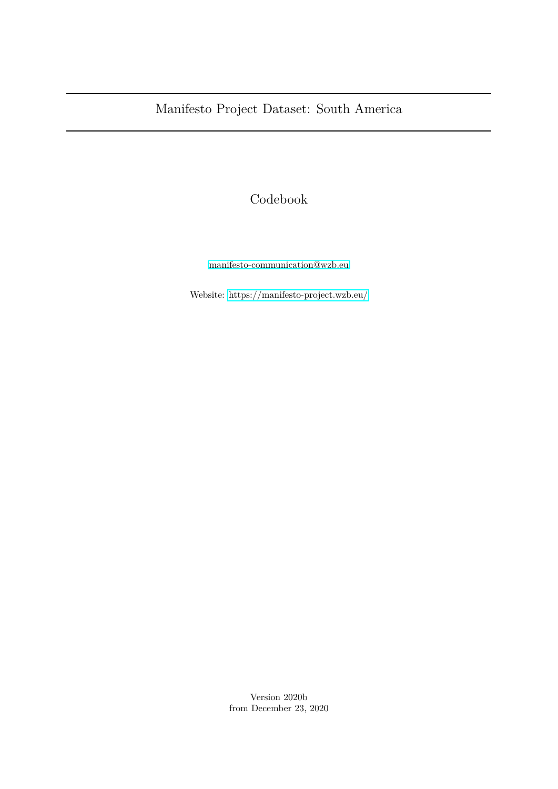## Codebook

[manifesto-communication@wzb.eu](mailto:manifesto-communication@wzb.eu)

Website:<https://manifesto-project.wzb.eu/>

Version 2020b from December 23, 2020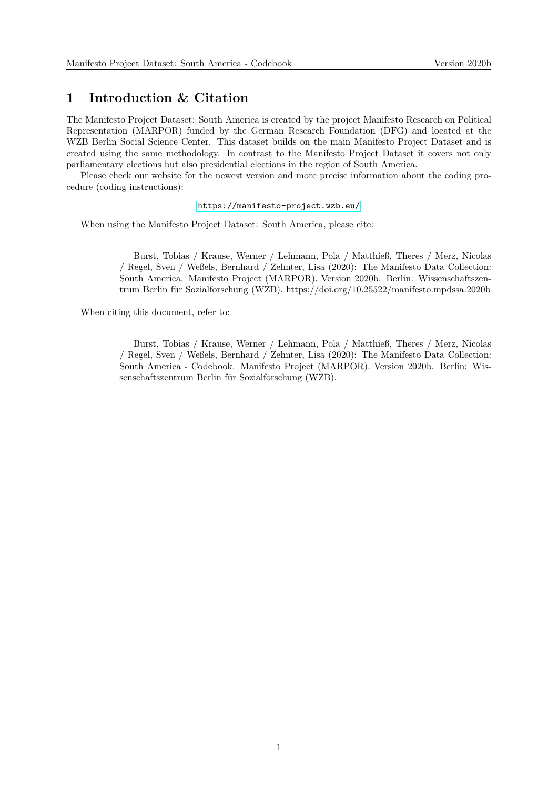### **1 Introduction & Citation**

The Manifesto Project Dataset: South America is created by the project Manifesto Research on Political Representation (MARPOR) funded by the German Research Foundation (DFG) and located at the WZB Berlin Social Science Center. This dataset builds on the main Manifesto Project Dataset and is created using the same methodology. In contrast to the Manifesto Project Dataset it covers not only parliamentary elections but also presidential elections in the region of South America.

Please check our website for the newest version and more precise information about the coding procedure (coding instructions):

#### <https://manifesto-project.wzb.eu/>

When using the Manifesto Project Dataset: South America, please cite:

Burst, Tobias / Krause, Werner / Lehmann, Pola / Matthieß, Theres / Merz, Nicolas / Regel, Sven / Weßels, Bernhard / Zehnter, Lisa (2020): The Manifesto Data Collection: South America. Manifesto Project (MARPOR). Version 2020b. Berlin: Wissenschaftszentrum Berlin für Sozialforschung (WZB). https://doi.org/10.25522/manifesto.mpdssa.2020b

When citing this document, refer to:

Burst, Tobias / Krause, Werner / Lehmann, Pola / Matthieß, Theres / Merz, Nicolas / Regel, Sven / Weßels, Bernhard / Zehnter, Lisa (2020): The Manifesto Data Collection: South America - Codebook. Manifesto Project (MARPOR). Version 2020b. Berlin: Wissenschaftszentrum Berlin für Sozialforschung (WZB).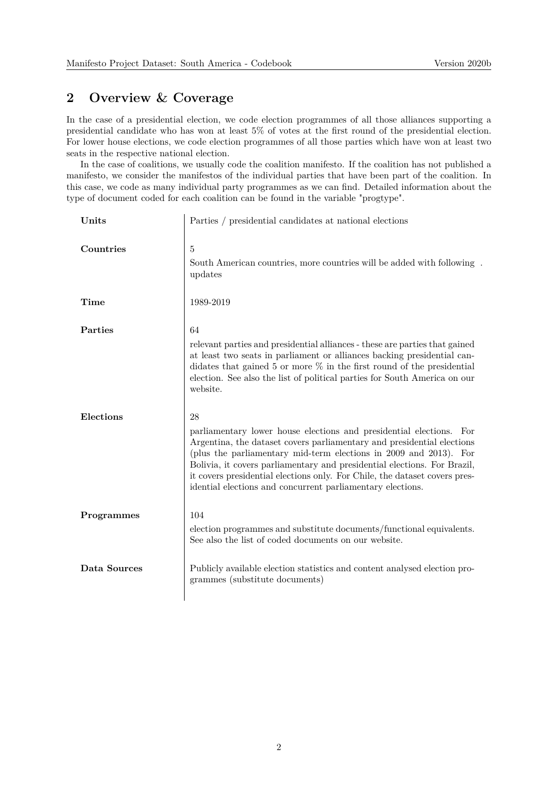## **2 Overview & Coverage**

In the case of a presidential election, we code election programmes of all those alliances supporting a presidential candidate who has won at least 5% of votes at the first round of the presidential election. For lower house elections, we code election programmes of all those parties which have won at least two seats in the respective national election.

In the case of coalitions, we usually code the coalition manifesto. If the coalition has not published a manifesto, we consider the manifestos of the individual parties that have been part of the coalition. In this case, we code as many individual party programmes as we can find. Detailed information about the type of document coded for each coalition can be found in the variable "progtype".

| Units        | Parties / presidential candidates at national elections                                                                                                                                                                                                                                                                                                                                                                                             |
|--------------|-----------------------------------------------------------------------------------------------------------------------------------------------------------------------------------------------------------------------------------------------------------------------------------------------------------------------------------------------------------------------------------------------------------------------------------------------------|
| Countries    | 5<br>South American countries, more countries will be added with following.<br>updates                                                                                                                                                                                                                                                                                                                                                              |
| Time         | 1989-2019                                                                                                                                                                                                                                                                                                                                                                                                                                           |
| Parties      | 64<br>relevant parties and presidential alliances - these are parties that gained<br>at least two seats in parliament or alliances backing presidential can-<br>didates that gained 5 or more $\%$ in the first round of the presidential<br>election. See also the list of political parties for South America on our<br>website.                                                                                                                  |
| Elections    | 28<br>parliamentary lower house elections and presidential elections.<br>For<br>Argentina, the dataset covers parliamentary and presidential elections<br>(plus the parliamentary mid-term elections in 2009 and 2013). For<br>Bolivia, it covers parliamentary and presidential elections. For Brazil,<br>it covers presidential elections only. For Chile, the dataset covers pres-<br>idential elections and concurrent parliamentary elections. |
| Programmes   | 104<br>election programmes and substitute documents/functional equivalents.<br>See also the list of coded documents on our website.                                                                                                                                                                                                                                                                                                                 |
| Data Sources | Publicly available election statistics and content analysed election pro-<br>grammes (substitute documents)                                                                                                                                                                                                                                                                                                                                         |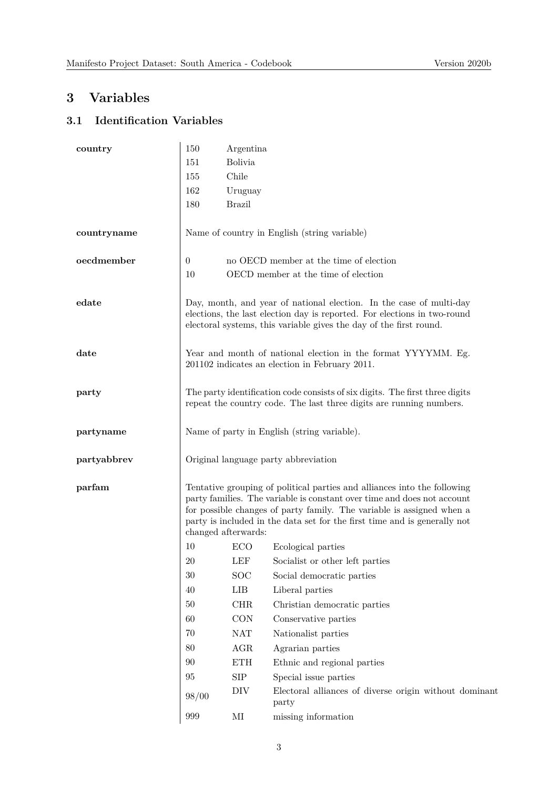# **3 Variables**

## **3.1 Identification Variables**

| country     | 150                                                                                                                                                                                                                                                                                                                              | Argentina            |                                                                 |
|-------------|----------------------------------------------------------------------------------------------------------------------------------------------------------------------------------------------------------------------------------------------------------------------------------------------------------------------------------|----------------------|-----------------------------------------------------------------|
|             | 151                                                                                                                                                                                                                                                                                                                              | <b>Bolivia</b>       |                                                                 |
|             | 155                                                                                                                                                                                                                                                                                                                              | Chile                |                                                                 |
|             | 162                                                                                                                                                                                                                                                                                                                              | Uruguay              |                                                                 |
|             | 180                                                                                                                                                                                                                                                                                                                              | <b>Brazil</b>        |                                                                 |
| countryname |                                                                                                                                                                                                                                                                                                                                  |                      | Name of country in English (string variable)                    |
| oecdmember  | $\theta$                                                                                                                                                                                                                                                                                                                         |                      | no OECD member at the time of election                          |
|             | 10                                                                                                                                                                                                                                                                                                                               |                      | OECD member at the time of election                             |
| edate       | Day, month, and year of national election. In the case of multi-day<br>elections, the last election day is reported. For elections in two-round<br>electoral systems, this variable gives the day of the first round.                                                                                                            |                      |                                                                 |
| date        | Year and month of national election in the format YYYYMM. Eg.<br>201102 indicates an election in February 2011.                                                                                                                                                                                                                  |                      |                                                                 |
| party       | The party identification code consists of six digits. The first three digits<br>repeat the country code. The last three digits are running numbers.                                                                                                                                                                              |                      |                                                                 |
| partyname   | Name of party in English (string variable).                                                                                                                                                                                                                                                                                      |                      |                                                                 |
| partyabbrev | Original language party abbreviation                                                                                                                                                                                                                                                                                             |                      |                                                                 |
| parfam      | Tentative grouping of political parties and alliances into the following<br>party families. The variable is constant over time and does not account<br>for possible changes of party family. The variable is assigned when a<br>party is included in the data set for the first time and is generally not<br>changed afterwards: |                      |                                                                 |
|             | 10                                                                                                                                                                                                                                                                                                                               | ECO                  | Ecological parties                                              |
|             | $20\,$                                                                                                                                                                                                                                                                                                                           | LEF                  | Socialist or other left parties                                 |
|             | 30                                                                                                                                                                                                                                                                                                                               | <b>SOC</b>           | Social democratic parties                                       |
|             | 40                                                                                                                                                                                                                                                                                                                               | LIB                  | Liberal parties                                                 |
|             | $50\,$                                                                                                                                                                                                                                                                                                                           | CHR                  | Christian democratic parties                                    |
|             | 60                                                                                                                                                                                                                                                                                                                               | <b>CON</b>           | Conservative parties                                            |
|             | 70                                                                                                                                                                                                                                                                                                                               | NAT                  | Nationalist parties                                             |
|             | 80                                                                                                                                                                                                                                                                                                                               | AGR                  | Agrarian parties                                                |
|             | 90                                                                                                                                                                                                                                                                                                                               | $\operatorname{ETH}$ | Ethnic and regional parties                                     |
|             | 95                                                                                                                                                                                                                                                                                                                               | ${\rm SIP}$          | Special issue parties                                           |
|             | 98/00                                                                                                                                                                                                                                                                                                                            | DIV                  | Electoral alliances of diverse origin without dominant<br>party |
|             | 999                                                                                                                                                                                                                                                                                                                              | $\rm MI$             | missing information                                             |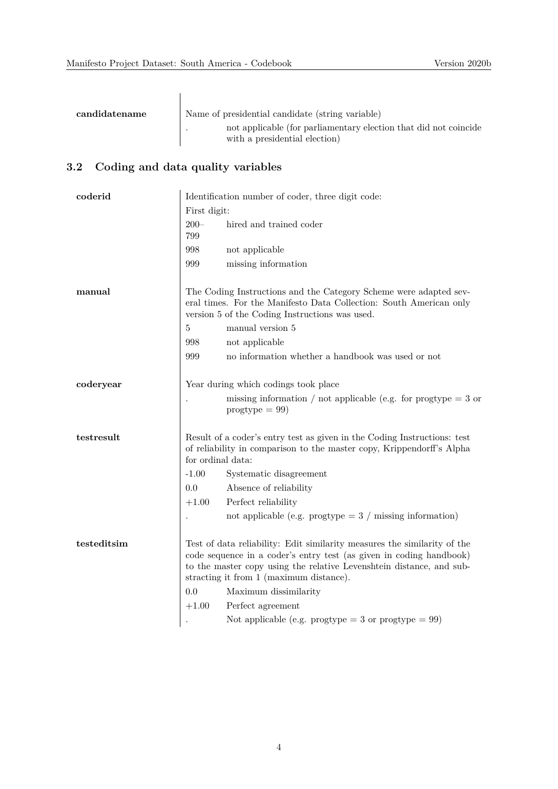| candidatename                                  | Name of presidential candidate (string variable)<br>not applicable (for parliamentary election that did not coincide                                                                      |                                                                                                                                                                                                                                                                    |  |
|------------------------------------------------|-------------------------------------------------------------------------------------------------------------------------------------------------------------------------------------------|--------------------------------------------------------------------------------------------------------------------------------------------------------------------------------------------------------------------------------------------------------------------|--|
|                                                |                                                                                                                                                                                           | with a presidential election)                                                                                                                                                                                                                                      |  |
| $\rm 3.2$<br>Coding and data quality variables |                                                                                                                                                                                           |                                                                                                                                                                                                                                                                    |  |
| coderid                                        |                                                                                                                                                                                           | Identification number of coder, three digit code:                                                                                                                                                                                                                  |  |
|                                                | First digit:                                                                                                                                                                              |                                                                                                                                                                                                                                                                    |  |
|                                                | $200 -$<br>799                                                                                                                                                                            | hired and trained coder                                                                                                                                                                                                                                            |  |
|                                                | 998                                                                                                                                                                                       | not applicable                                                                                                                                                                                                                                                     |  |
|                                                | 999                                                                                                                                                                                       | missing information                                                                                                                                                                                                                                                |  |
| manual                                         | The Coding Instructions and the Category Scheme were adapted sev-<br>eral times. For the Manifesto Data Collection: South American only<br>version 5 of the Coding Instructions was used. |                                                                                                                                                                                                                                                                    |  |
|                                                | 5                                                                                                                                                                                         | manual version 5                                                                                                                                                                                                                                                   |  |
|                                                | 998                                                                                                                                                                                       | not applicable                                                                                                                                                                                                                                                     |  |
|                                                | 999                                                                                                                                                                                       | no information whether a handbook was used or not                                                                                                                                                                                                                  |  |
| coderyear                                      | Year during which codings took place                                                                                                                                                      |                                                                                                                                                                                                                                                                    |  |
|                                                |                                                                                                                                                                                           | missing information / not applicable (e.g. for progtype $=$ 3 or<br>$progtype = 99$                                                                                                                                                                                |  |
| testresult                                     | for ordinal data:                                                                                                                                                                         | Result of a coder's entry test as given in the Coding Instructions: test<br>of reliability in comparison to the master copy, Krippendorff's Alpha                                                                                                                  |  |
|                                                | $-1.00$                                                                                                                                                                                   | Systematic disagreement                                                                                                                                                                                                                                            |  |
|                                                | 0.0                                                                                                                                                                                       | Absence of reliability                                                                                                                                                                                                                                             |  |
|                                                | $+1.00$                                                                                                                                                                                   | Perfect reliability                                                                                                                                                                                                                                                |  |
|                                                |                                                                                                                                                                                           | not applicable (e.g. progtype $=$ 3 / missing information)                                                                                                                                                                                                         |  |
| testeditsim                                    |                                                                                                                                                                                           | Test of data reliability: Edit similarity measures the similarity of the<br>code sequence in a coder's entry test (as given in coding handbook)<br>to the master copy using the relative Levenshtein distance, and sub-<br>stracting it from 1 (maximum distance). |  |
|                                                | 0.0                                                                                                                                                                                       | Maximum dissimilarity                                                                                                                                                                                                                                              |  |
|                                                | $+1.00$                                                                                                                                                                                   | Perfect agreement                                                                                                                                                                                                                                                  |  |
|                                                |                                                                                                                                                                                           | Not applicable (e.g. progtype = 3 or progtype = $99$ )                                                                                                                                                                                                             |  |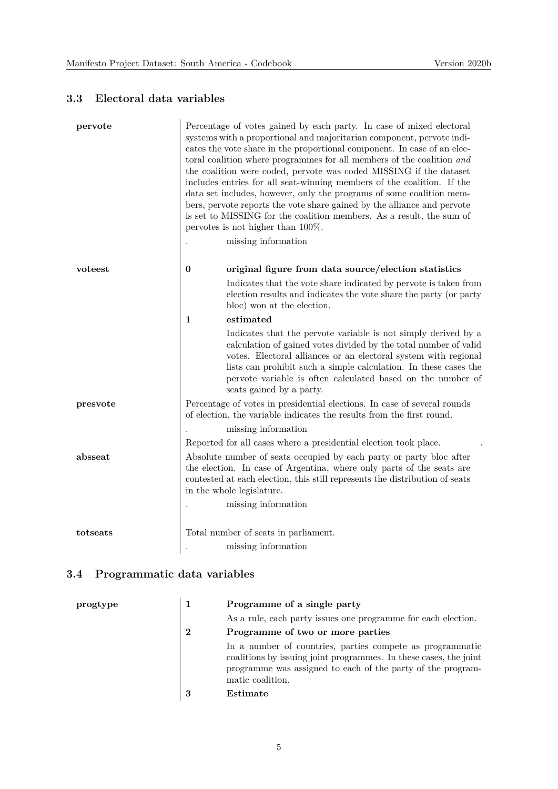### **3.3 Electoral data variables**

| pervote  | Percentage of votes gained by each party. In case of mixed electoral<br>systems with a proportional and majoritarian component, pervote indi-<br>cates the vote share in the proportional component. In case of an elec-<br>toral coalition where programmes for all members of the coalition and<br>the coalition were coded, pervote was coded MISSING if the dataset<br>includes entries for all seat-winning members of the coalition. If the<br>data set includes, however, only the programs of some coalition mem-<br>bers, pervote reports the vote share gained by the alliance and pervote<br>is set to MISSING for the coalition members. As a result, the sum of<br>pervotes is not higher than $100\%$ .<br>missing information |
|----------|----------------------------------------------------------------------------------------------------------------------------------------------------------------------------------------------------------------------------------------------------------------------------------------------------------------------------------------------------------------------------------------------------------------------------------------------------------------------------------------------------------------------------------------------------------------------------------------------------------------------------------------------------------------------------------------------------------------------------------------------|
| voteest  | $\boldsymbol{0}$<br>original figure from data source/election statistics                                                                                                                                                                                                                                                                                                                                                                                                                                                                                                                                                                                                                                                                     |
|          | Indicates that the vote share indicated by pervote is taken from<br>election results and indicates the vote share the party (or party<br>bloc) won at the election.                                                                                                                                                                                                                                                                                                                                                                                                                                                                                                                                                                          |
|          | estimated<br>1                                                                                                                                                                                                                                                                                                                                                                                                                                                                                                                                                                                                                                                                                                                               |
|          | Indicates that the pervote variable is not simply derived by a<br>calculation of gained votes divided by the total number of valid<br>votes. Electoral alliances or an electoral system with regional<br>lists can prohibit such a simple calculation. In these cases the<br>pervote variable is often calculated based on the number of<br>seats gained by a party.                                                                                                                                                                                                                                                                                                                                                                         |
| presvote | Percentage of votes in presidential elections. In case of several rounds<br>of election, the variable indicates the results from the first round.                                                                                                                                                                                                                                                                                                                                                                                                                                                                                                                                                                                            |
|          | missing information                                                                                                                                                                                                                                                                                                                                                                                                                                                                                                                                                                                                                                                                                                                          |
|          | Reported for all cases where a presidential election took place.                                                                                                                                                                                                                                                                                                                                                                                                                                                                                                                                                                                                                                                                             |
| absseat  | Absolute number of seats occupied by each party or party bloc after<br>the election. In case of Argentina, where only parts of the seats are<br>contested at each election, this still represents the distribution of seats<br>in the whole legislature.                                                                                                                                                                                                                                                                                                                                                                                                                                                                                     |
|          | missing information                                                                                                                                                                                                                                                                                                                                                                                                                                                                                                                                                                                                                                                                                                                          |
| totseats | Total number of seats in parliament.                                                                                                                                                                                                                                                                                                                                                                                                                                                                                                                                                                                                                                                                                                         |
|          | missing information                                                                                                                                                                                                                                                                                                                                                                                                                                                                                                                                                                                                                                                                                                                          |
|          |                                                                                                                                                                                                                                                                                                                                                                                                                                                                                                                                                                                                                                                                                                                                              |

## **3.4 Programmatic data variables**

| progtype |          | Programme of a single party                                                                                                                                                                                       |  |
|----------|----------|-------------------------------------------------------------------------------------------------------------------------------------------------------------------------------------------------------------------|--|
|          |          | As a rule, each party issues one programme for each election.                                                                                                                                                     |  |
|          | $\bf{2}$ | Programme of two or more parties                                                                                                                                                                                  |  |
|          |          | In a number of countries, parties compete as programmatic<br>coalitions by issuing joint programmes. In these cases, the joint<br>programme was assigned to each of the party of the program-<br>matic coalition. |  |
|          | 3        | Estimate                                                                                                                                                                                                          |  |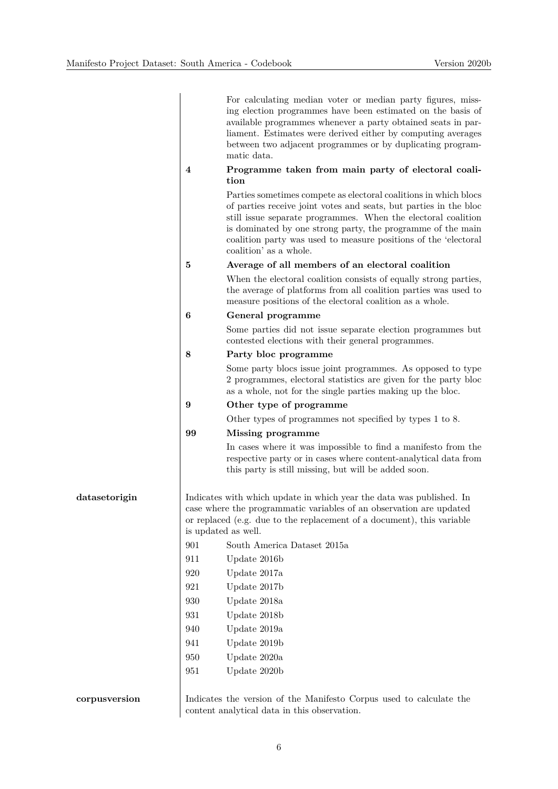|               |                  | For calculating median voter or median party figures, miss-<br>ing election programmes have been estimated on the basis of<br>available programmes whenever a party obtained seats in par-<br>liament. Estimates were derived either by computing averages<br>between two adjacent programmes or by duplicating program-<br>matic data.                                    |
|---------------|------------------|----------------------------------------------------------------------------------------------------------------------------------------------------------------------------------------------------------------------------------------------------------------------------------------------------------------------------------------------------------------------------|
|               | $\boldsymbol{4}$ | Programme taken from main party of electoral coali-                                                                                                                                                                                                                                                                                                                        |
|               |                  | tion<br>Parties sometimes compete as electoral coalitions in which blocs<br>of parties receive joint votes and seats, but parties in the bloc<br>still issue separate programmes. When the electoral coalition<br>is dominated by one strong party, the programme of the main<br>coalition party was used to measure positions of the 'electoral<br>coalition' as a whole. |
|               | 5                | Average of all members of an electoral coalition                                                                                                                                                                                                                                                                                                                           |
|               |                  | When the electoral coalition consists of equally strong parties,<br>the average of platforms from all coalition parties was used to<br>measure positions of the electoral coalition as a whole.                                                                                                                                                                            |
|               | 6                | General programme                                                                                                                                                                                                                                                                                                                                                          |
|               |                  | Some parties did not issue separate election programmes but<br>contested elections with their general programmes.                                                                                                                                                                                                                                                          |
|               | 8                | Party bloc programme                                                                                                                                                                                                                                                                                                                                                       |
|               |                  | Some party blocs issue joint programmes. As opposed to type<br>2 programmes, electoral statistics are given for the party bloc<br>as a whole, not for the single parties making up the bloc.                                                                                                                                                                               |
|               | 9                | Other type of programme                                                                                                                                                                                                                                                                                                                                                    |
|               |                  | Other types of programmes not specified by types 1 to 8.                                                                                                                                                                                                                                                                                                                   |
|               | 99               | Missing programme                                                                                                                                                                                                                                                                                                                                                          |
|               |                  | In cases where it was impossible to find a manifesto from the<br>respective party or in cases where content-analytical data from<br>this party is still missing, but will be added soon.                                                                                                                                                                                   |
| datasetorigin |                  | Indicates with which update in which year the data was published. In<br>case where the programmatic variables of an observation are updated<br>or replaced (e.g. due to the replacement of a document), this variable<br>is updated as well.                                                                                                                               |
|               | 901              | South America Dataset 2015a                                                                                                                                                                                                                                                                                                                                                |
|               | 911              | Update 2016b                                                                                                                                                                                                                                                                                                                                                               |
|               | 920              | Update 2017a                                                                                                                                                                                                                                                                                                                                                               |
|               | 921              | Update 2017b                                                                                                                                                                                                                                                                                                                                                               |
|               | 930              | Update 2018a                                                                                                                                                                                                                                                                                                                                                               |
|               | 931              | Update 2018b                                                                                                                                                                                                                                                                                                                                                               |
|               | 940              | Update 2019a                                                                                                                                                                                                                                                                                                                                                               |
|               | 941              | Update 2019b                                                                                                                                                                                                                                                                                                                                                               |
|               | 950              | Update 2020a                                                                                                                                                                                                                                                                                                                                                               |
|               | 951              | Update 2020b                                                                                                                                                                                                                                                                                                                                                               |
| corpusversion |                  | Indicates the version of the Manifesto Corpus used to calculate the                                                                                                                                                                                                                                                                                                        |

content analytical data in this observation.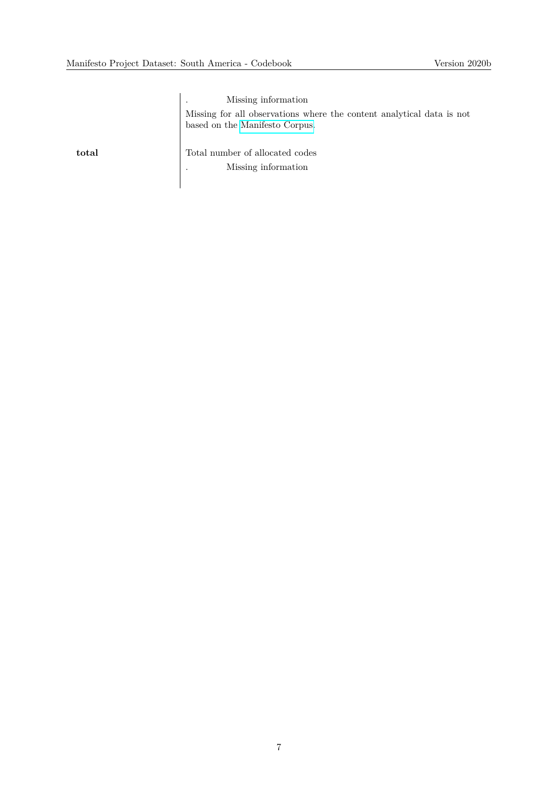. Missing information Missing for all observations where the content analytical data is not based on the [Manifesto Corpus.](https://manifesto-project.wzb.eu/information/documents/corpus)

**total** Total number of allocated codes . Missing information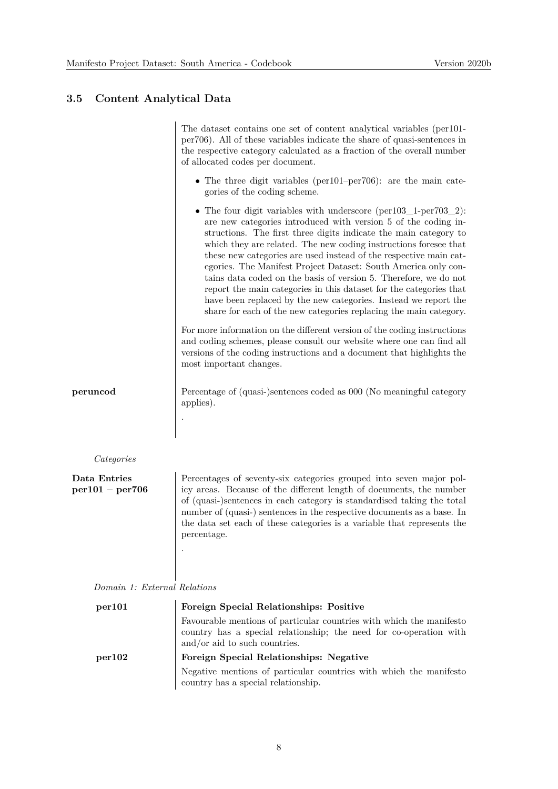#### **3.5 Content Analytical Data**

The dataset contains one set of content analytical variables (per101 per706). All of these variables indicate the share of quasi-sentences in the respective category calculated as a fraction of the overall number of allocated codes per document. • The three digit variables (per101–per706): are the main categories of the coding scheme. • The four digit variables with underscore (per103 1-per703 2): are new categories introduced with version 5 of the coding instructions. The first three digits indicate the main category to which they are related. The new coding instructions foresee that these new categories are used instead of the respective main categories. The Manifest Project Dataset: South America only contains data coded on the basis of version 5. Therefore, we do not report the main categories in this dataset for the categories that have been replaced by the new categories. Instead we report the share for each of the new categories replacing the main category. For more information on the different version of the coding instructions and coding schemes, please consult our website where one can find all versions of the coding instructions and a document that highlights the most important changes. **peruncod** Percentage of (quasi-)sentences coded as 000 (No meaningful category applies). . missing data *Categories* **Data Entries per101 – per706** Percentages of seventy-six categories grouped into seven major policy areas. Because of the different length of documents, the number of (quasi-)sentences in each category is standardised taking the total number of (quasi-) sentences in the respective documents as a base. In the data set each of these categories is a variable that represents the percentage. . Missing information  $\mathcal{M}$  is a positive function  $\mathcal{M}$  applicable (if  $n$ *Domain 1: External Relations* **per101 Foreign Special Relationships: Positive** Favourable mentions of particular countries with which the manifesto country has a special relationship; the need for co-operation with

#### and/or aid to such countries. **per102 Foreign Special Relationships: Negative** Negative mentions of particular countries with which the manifesto country has a special relationship.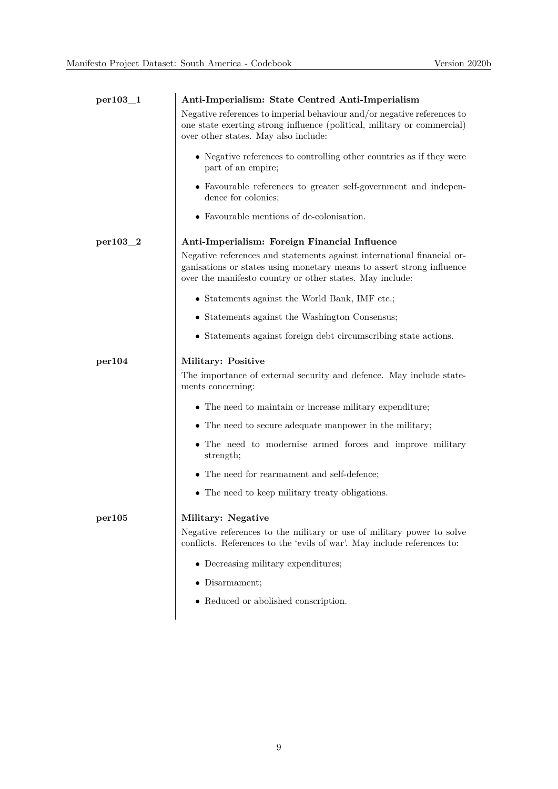| $per103_1$ | Anti-Imperialism: State Centred Anti-Imperialism                                                                                                                                                            |
|------------|-------------------------------------------------------------------------------------------------------------------------------------------------------------------------------------------------------------|
|            | Negative references to imperial behaviour and/or negative references to<br>one state exerting strong influence (political, military or commercial)<br>over other states. May also include:                  |
|            | • Negative references to controlling other countries as if they were<br>part of an empire;                                                                                                                  |
|            | • Favourable references to greater self-government and indepen-<br>dence for colonies;                                                                                                                      |
|            | • Favourable mentions of de-colonisation.                                                                                                                                                                   |
| per103_2   | Anti-Imperialism: Foreign Financial Influence                                                                                                                                                               |
|            | Negative references and statements against international financial or-<br>ganisations or states using monetary means to assert strong influence<br>over the manifesto country or other states. May include: |
|            | • Statements against the World Bank, IMF etc.;                                                                                                                                                              |
|            | • Statements against the Washington Consensus;                                                                                                                                                              |
|            | • Statements against foreign debt circumscribing state actions.                                                                                                                                             |
| per104     | Military: Positive                                                                                                                                                                                          |
|            | The importance of external security and defence. May include state-<br>ments concerning:                                                                                                                    |
|            | • The need to maintain or increase military expenditure;                                                                                                                                                    |
|            | • The need to secure adequate manpower in the military;                                                                                                                                                     |
|            | • The need to modernise armed forces and improve military<br>strength;                                                                                                                                      |
|            | • The need for rearmament and self-defence;                                                                                                                                                                 |
|            | • The need to keep military treaty obligations.                                                                                                                                                             |
| per105     | Military: Negative                                                                                                                                                                                          |
|            | Negative references to the military or use of military power to solve<br>conflicts. References to the 'evils of war'. May include references to:                                                            |
|            | • Decreasing military expenditures;                                                                                                                                                                         |
|            | $\bullet$ Disarmament;                                                                                                                                                                                      |
|            | • Reduced or abolished conscription.                                                                                                                                                                        |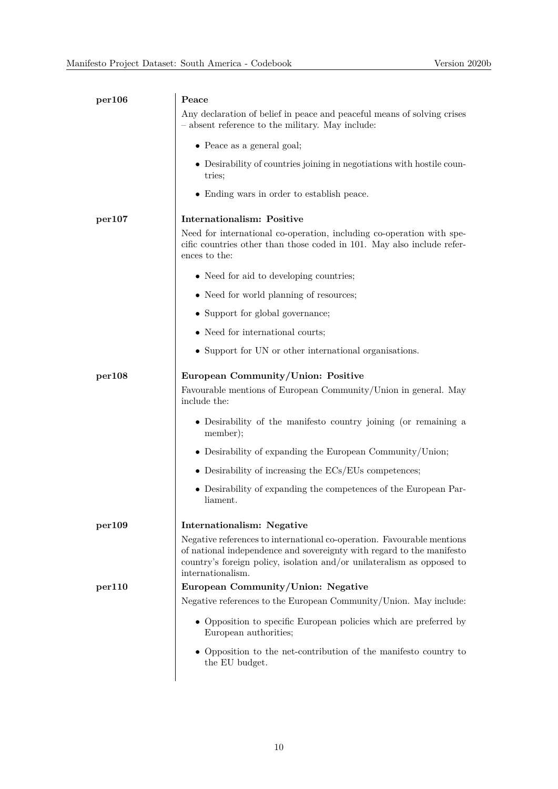| per106 | Peace                                                                                                                                                                                                                                          |
|--------|------------------------------------------------------------------------------------------------------------------------------------------------------------------------------------------------------------------------------------------------|
|        | Any declaration of belief in peace and peaceful means of solving crises<br>- absent reference to the military. May include:                                                                                                                    |
|        | $\bullet$ Peace as a general goal;                                                                                                                                                                                                             |
|        | • Desirability of countries joining in negotiations with hostile coun-<br>tries;                                                                                                                                                               |
|        | • Ending wars in order to establish peace.                                                                                                                                                                                                     |
| per107 | <b>Internationalism: Positive</b>                                                                                                                                                                                                              |
|        | Need for international co-operation, including co-operation with spe-<br>cific countries other than those coded in 101. May also include refer-<br>ences to the:                                                                               |
|        | • Need for aid to developing countries;                                                                                                                                                                                                        |
|        | • Need for world planning of resources;                                                                                                                                                                                                        |
|        | • Support for global governance;                                                                                                                                                                                                               |
|        | • Need for international courts;                                                                                                                                                                                                               |
|        | • Support for UN or other international organisations.                                                                                                                                                                                         |
| per108 | European Community/Union: Positive<br>Favourable mentions of European Community/Union in general. May                                                                                                                                          |
|        | include the:                                                                                                                                                                                                                                   |
|        | • Desirability of the manifesto country joining (or remaining a<br>member);                                                                                                                                                                    |
|        | $\bullet$ Desirability of expanding the European Community/Union;                                                                                                                                                                              |
|        | $\bullet$ Desirability of increasing the ECs/EUs competences;                                                                                                                                                                                  |
|        | • Desirability of expanding the competences of the European Par-<br>liament.                                                                                                                                                                   |
| per109 | <b>Internationalism: Negative</b>                                                                                                                                                                                                              |
|        | Negative references to international co-operation. Favourable mentions<br>of national independence and sovereignty with regard to the manifesto<br>country's foreign policy, isolation and/or unilateralism as opposed to<br>internationalism. |
| per110 | European Community/Union: Negative                                                                                                                                                                                                             |
|        | Negative references to the European Community/Union. May include:                                                                                                                                                                              |
|        | • Opposition to specific European policies which are preferred by<br>European authorities;                                                                                                                                                     |
|        | • Opposition to the net-contribution of the manifesto country to<br>the EU budget.                                                                                                                                                             |
|        |                                                                                                                                                                                                                                                |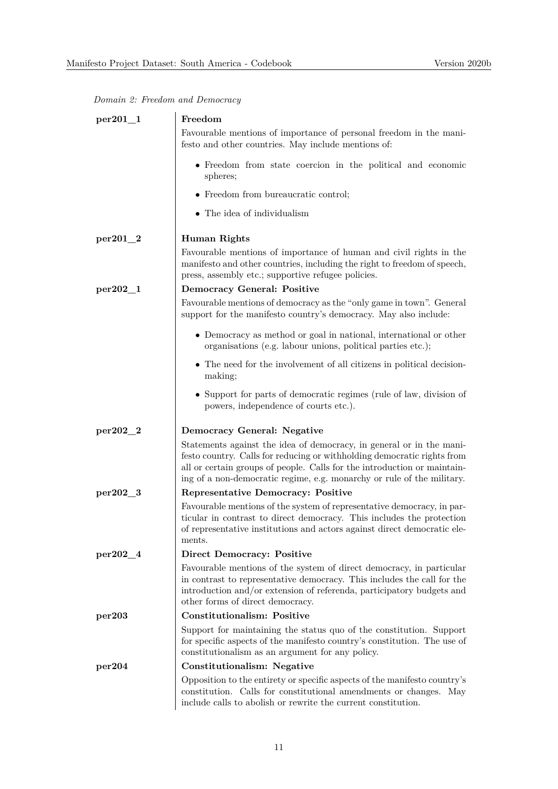|  |  |  |  | Domain 2: Freedom and Democracy |
|--|--|--|--|---------------------------------|
|--|--|--|--|---------------------------------|

| $per201_1$   | Freedom                                                                                                                                                                                                                                                                                               |
|--------------|-------------------------------------------------------------------------------------------------------------------------------------------------------------------------------------------------------------------------------------------------------------------------------------------------------|
|              | Favourable mentions of importance of personal freedom in the mani-<br>festo and other countries. May include mentions of:                                                                                                                                                                             |
|              | • Freedom from state coercion in the political and economic<br>spheres;                                                                                                                                                                                                                               |
|              | • Freedom from bureaucratic control;                                                                                                                                                                                                                                                                  |
|              | • The idea of individualism                                                                                                                                                                                                                                                                           |
| $per201_2$   | <b>Human Rights</b>                                                                                                                                                                                                                                                                                   |
|              | Favourable mentions of importance of human and civil rights in the<br>manifesto and other countries, including the right to freedom of speech,<br>press, assembly etc.; supportive refugee policies.                                                                                                  |
| $per202 - 1$ | <b>Democracy General: Positive</b>                                                                                                                                                                                                                                                                    |
|              | Favourable mentions of democracy as the "only game in town". General<br>support for the manifesto country's democracy. May also include:                                                                                                                                                              |
|              | • Democracy as method or goal in national, international or other<br>organisations (e.g. labour unions, political parties etc.);                                                                                                                                                                      |
|              | • The need for the involvement of all citizens in political decision-<br>making;                                                                                                                                                                                                                      |
|              | • Support for parts of democratic regimes (rule of law, division of<br>powers, independence of courts etc.).                                                                                                                                                                                          |
| per202_2     | Democracy General: Negative                                                                                                                                                                                                                                                                           |
|              | Statements against the idea of democracy, in general or in the mani-<br>festo country. Calls for reducing or withholding democratic rights from<br>all or certain groups of people. Calls for the introduction or maintain-<br>ing of a non-democratic regime, e.g. monarchy or rule of the military. |
| per202_3     | <b>Representative Democracy: Positive</b>                                                                                                                                                                                                                                                             |
|              | Favourable mentions of the system of representative democracy, in par-<br>ticular in contrast to direct democracy. This includes the protection<br>of representative institutions and actors against direct democratic ele-<br>ments.                                                                 |
| $per202\_4$  | <b>Direct Democracy: Positive</b>                                                                                                                                                                                                                                                                     |
|              | Favourable mentions of the system of direct democracy, in particular<br>in contrast to representative democracy. This includes the call for the<br>introduction and/or extension of referenda, participatory budgets and<br>other forms of direct democracy.                                          |
| per203       | <b>Constitutionalism: Positive</b>                                                                                                                                                                                                                                                                    |
|              | Support for maintaining the status quo of the constitution. Support<br>for specific aspects of the manifesto country's constitution. The use of<br>constitutionalism as an argument for any policy.                                                                                                   |
| per204       | Constitutionalism: Negative                                                                                                                                                                                                                                                                           |
|              | Opposition to the entirety or specific aspects of the manifesto country's<br>constitution. Calls for constitutional amendments or changes. May<br>include calls to abolish or rewrite the current constitution.                                                                                       |
|              |                                                                                                                                                                                                                                                                                                       |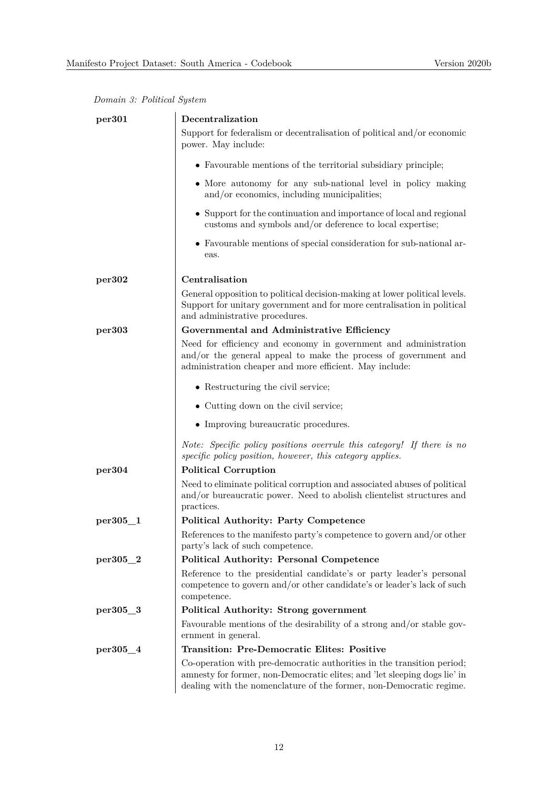|  |  | Domain 3: Political System |  |
|--|--|----------------------------|--|
|--|--|----------------------------|--|

| per301      | Decentralization                                                                                                                                                                                                           |
|-------------|----------------------------------------------------------------------------------------------------------------------------------------------------------------------------------------------------------------------------|
|             | Support for federalism or decentralisation of political and/or economic<br>power. May include:                                                                                                                             |
|             | • Favourable mentions of the territorial subsidiary principle;                                                                                                                                                             |
|             | • More autonomy for any sub-national level in policy making<br>and/or economics, including municipalities;                                                                                                                 |
|             | $\bullet~$ Support for the continuation and importance of local and regional<br>customs and symbols and/or deference to local expertise;                                                                                   |
|             | • Favourable mentions of special consideration for sub-national ar-<br>eas.                                                                                                                                                |
| per302      | Centralisation                                                                                                                                                                                                             |
|             | General opposition to political decision-making at lower political levels.<br>Support for unitary government and for more centralisation in political<br>and administrative procedures.                                    |
| per303      | Governmental and Administrative Efficiency                                                                                                                                                                                 |
|             | Need for efficiency and economy in government and administration<br>and/or the general appeal to make the process of government and<br>administration cheaper and more efficient. May include:                             |
|             | • Restructuring the civil service;                                                                                                                                                                                         |
|             | • Cutting down on the civil service;                                                                                                                                                                                       |
|             | • Improving bureaucratic procedures.                                                                                                                                                                                       |
|             | Note: Specific policy positions overrule this category! If there is no<br>specific policy position, however, this category applies.                                                                                        |
| per304      | <b>Political Corruption</b>                                                                                                                                                                                                |
|             | Need to eliminate political corruption and associated abuses of political<br>$\,$ and/or bureaucratic power. Need to a<br>bolish clientelist structures and<br>practices.                                                  |
| $per305\_1$ | <b>Political Authority: Party Competence</b>                                                                                                                                                                               |
|             | References to the manifesto party's competence to govern and/or other<br>party's lack of such competence.                                                                                                                  |
| $per305\_2$ | <b>Political Authority: Personal Competence</b>                                                                                                                                                                            |
|             | Reference to the presidential candidate's or party leader's personal<br>competence to govern and/or other candidate's or leader's lack of such<br>competence.                                                              |
| per305_3    | Political Authority: Strong government                                                                                                                                                                                     |
|             | Favourable mentions of the desirability of a strong and/or stable gov-<br>ernment in general.                                                                                                                              |
| per305_4    | <b>Transition: Pre-Democratic Elites: Positive</b>                                                                                                                                                                         |
|             | Co-operation with pre-democratic authorities in the transition period;<br>amnesty for former, non-Democratic elites; and 'let sleeping dogs lie' in<br>dealing with the nomenclature of the former, non-Democratic regime. |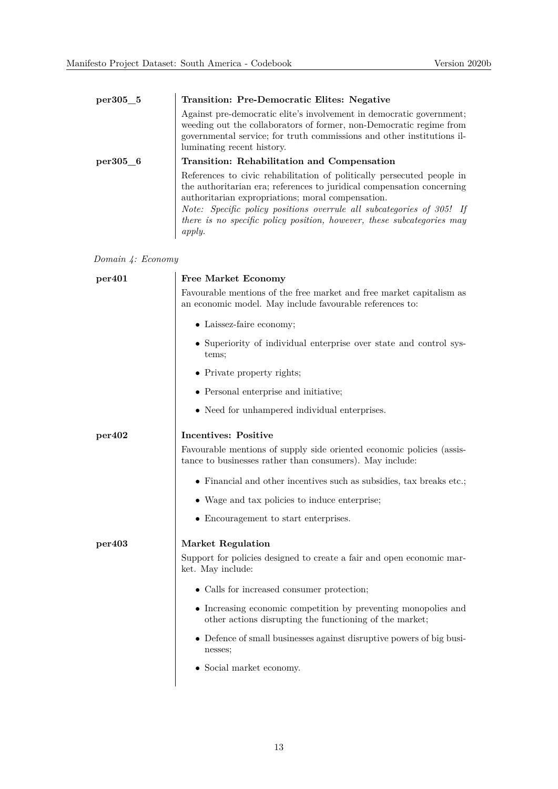| $per305\_5$ | Transition: Pre-Democratic Elites: Negative                                                                                                                                                                                                                                                                                                                        |
|-------------|--------------------------------------------------------------------------------------------------------------------------------------------------------------------------------------------------------------------------------------------------------------------------------------------------------------------------------------------------------------------|
|             | Against pre-democratic elite's involvement in democratic government;<br>weeding out the collaborators of former, non-Democratic regime from<br>governmental service; for truth commissions and other institutions il-<br>luminating recent history.                                                                                                                |
| $per305$ 6  | Transition: Rehabilitation and Compensation                                                                                                                                                                                                                                                                                                                        |
|             | References to civic rehabilitation of politically persecuted people in<br>the authoritarian era; references to juridical compensation concerning<br>authoritarian expropriations; moral compensation.<br>Note: Specific policy positions overrule all subcategories of 305! If<br>there is no specific policy position, however, these subcategories may<br>apply. |

|  |  | Domain 4: Economy |
|--|--|-------------------|
|--|--|-------------------|

| per <sub>401</sub> | <b>Free Market Economy</b>                                                                                                        |  |  |
|--------------------|-----------------------------------------------------------------------------------------------------------------------------------|--|--|
|                    | Favourable mentions of the free market and free market capitalism as<br>an economic model. May include favourable references to:  |  |  |
|                    | • Laissez-faire economy;                                                                                                          |  |  |
|                    | • Superiority of individual enterprise over state and control sys-<br>tems;                                                       |  |  |
|                    | • Private property rights;                                                                                                        |  |  |
|                    | • Personal enterprise and initiative;                                                                                             |  |  |
|                    | • Need for unhampered individual enterprises.                                                                                     |  |  |
| per402             | <b>Incentives: Positive</b>                                                                                                       |  |  |
|                    | Favourable mentions of supply side oriented economic policies (assis-<br>tance to businesses rather than consumers). May include: |  |  |
|                    | $\bullet$ Financial and other incentives such as subsidies, tax breaks etc.;                                                      |  |  |
|                    | • Wage and tax policies to induce enterprise;                                                                                     |  |  |
|                    | • Encouragement to start enterprises.                                                                                             |  |  |
| per403             | <b>Market Regulation</b>                                                                                                          |  |  |
|                    | Support for policies designed to create a fair and open economic mar-<br>ket. May include:                                        |  |  |
|                    | • Calls for increased consumer protection;                                                                                        |  |  |
|                    | • Increasing economic competition by preventing monopolies and<br>other actions disrupting the functioning of the market;         |  |  |
|                    | • Defence of small businesses against disruptive powers of big busi-<br>nesses;                                                   |  |  |
|                    | • Social market economy.                                                                                                          |  |  |
|                    |                                                                                                                                   |  |  |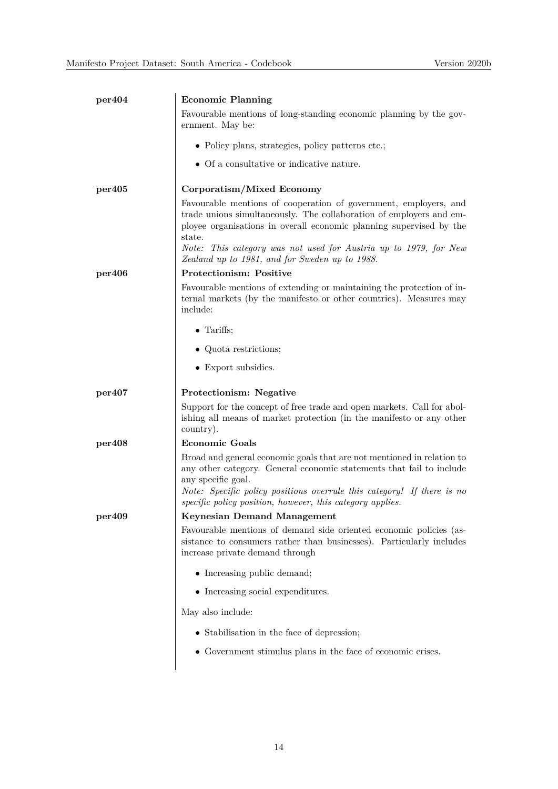| per404 | <b>Economic Planning</b>                                                                                                                                                                                                 |
|--------|--------------------------------------------------------------------------------------------------------------------------------------------------------------------------------------------------------------------------|
|        | Favourable mentions of long-standing economic planning by the gov-<br>ernment. May be:                                                                                                                                   |
|        | • Policy plans, strategies, policy patterns etc.;                                                                                                                                                                        |
|        | $\bullet~$ Of a consultative or indicative nature.                                                                                                                                                                       |
| per405 | Corporatism/Mixed Economy                                                                                                                                                                                                |
|        | Favourable mentions of cooperation of government, employers, and<br>trade unions simultaneously. The collaboration of employers and em-<br>ployee organisations in overall economic planning supervised by the<br>state. |
|        | Note: This category was not used for Austria up to 1979, for New<br>Zealand up to 1981, and for Sweden up to 1988.                                                                                                       |
| per406 | <b>Protectionism: Positive</b>                                                                                                                                                                                           |
|        | Favourable mentions of extending or maintaining the protection of in-<br>ternal markets (by the manifesto or other countries). Measures may<br>include:                                                                  |
|        | $\bullet$ Tariffs;                                                                                                                                                                                                       |
|        | • Quota restrictions;                                                                                                                                                                                                    |
|        | • Export subsidies.                                                                                                                                                                                                      |
|        |                                                                                                                                                                                                                          |
| per407 | Protectionism: Negative                                                                                                                                                                                                  |
|        | Support for the concept of free trade and open markets. Call for abol-<br>ishing all means of market protection (in the manifesto or any other<br>country).                                                              |
| per408 | <b>Economic Goals</b>                                                                                                                                                                                                    |
|        | Broad and general economic goals that are not mentioned in relation to<br>any other category. General economic statements that fail to include<br>any specific goal.                                                     |
|        | Note: Specific policy positions overrule this category! If there is no<br>specific policy position, however, this category applies.                                                                                      |
| per409 | <b>Keynesian Demand Management</b>                                                                                                                                                                                       |
|        | Favourable mentions of demand side oriented economic policies (as-<br>sistance to consumers rather than businesses). Particularly includes<br>increase private demand through                                            |
|        | • Increasing public demand;                                                                                                                                                                                              |
|        | • Increasing social expenditures.                                                                                                                                                                                        |
|        | May also include:                                                                                                                                                                                                        |
|        | • Stabilisation in the face of depression;                                                                                                                                                                               |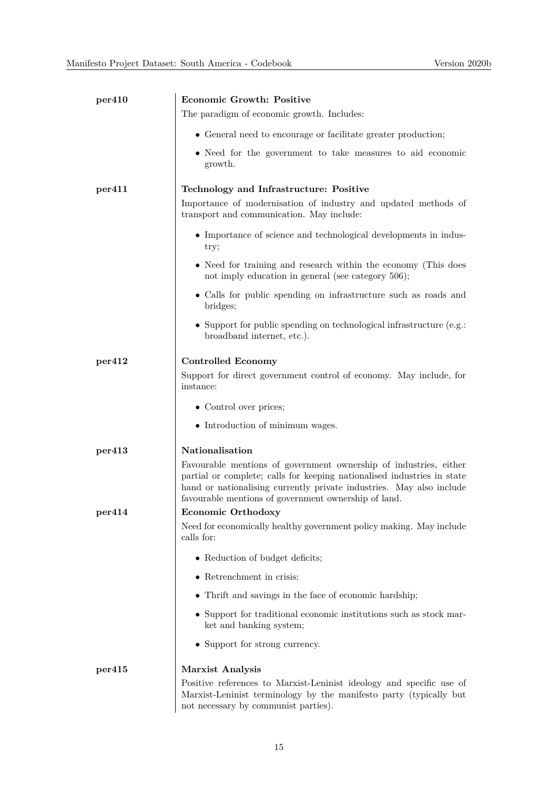| per410 | <b>Economic Growth: Positive</b>                                                                                                                                                                                                                                             |
|--------|------------------------------------------------------------------------------------------------------------------------------------------------------------------------------------------------------------------------------------------------------------------------------|
|        | The paradigm of economic growth. Includes:                                                                                                                                                                                                                                   |
|        | • General need to encourage or facilitate greater production;                                                                                                                                                                                                                |
|        | • Need for the government to take measures to aid economic<br>growth.                                                                                                                                                                                                        |
| per411 | Technology and Infrastructure: Positive                                                                                                                                                                                                                                      |
|        | Importance of modernisation of industry and updated methods of<br>transport and communication. May include:                                                                                                                                                                  |
|        | • Importance of science and technological developments in indus-<br>try;                                                                                                                                                                                                     |
|        | • Need for training and research within the economy (This does<br>not imply education in general (see category 506);                                                                                                                                                         |
|        | • Calls for public spending on infrastructure such as roads and<br>bridges;                                                                                                                                                                                                  |
|        | • Support for public spending on technological infrastructure (e.g.:<br>broadband internet, etc.).                                                                                                                                                                           |
| per412 | <b>Controlled Economy</b><br>Support for direct government control of economy. May include, for<br>instance:                                                                                                                                                                 |
|        | • Control over prices;                                                                                                                                                                                                                                                       |
|        | • Introduction of minimum wages.                                                                                                                                                                                                                                             |
| per413 | Nationalisation                                                                                                                                                                                                                                                              |
|        | Favourable mentions of government ownership of industries, either<br>partial or complete; calls for keeping nationalised industries in state<br>hand or nationalising currently private industries. May also include<br>favourable mentions of government ownership of land. |
| per414 | Economic Orthodoxy                                                                                                                                                                                                                                                           |
|        | Need for economically healthy government policy making. May include<br>calls for:                                                                                                                                                                                            |
|        | • Reduction of budget deficits;                                                                                                                                                                                                                                              |
|        | $\bullet$ Retrenchment in crisis;                                                                                                                                                                                                                                            |
|        | • Thrift and savings in the face of economic hardship;                                                                                                                                                                                                                       |
|        | • Support for traditional economic institutions such as stock mar-<br>ket and banking system;                                                                                                                                                                                |
|        | • Support for strong currency.                                                                                                                                                                                                                                               |
| per415 | Marxist Analysis<br>Positive references to Marxist-Leninist ideology and specific use of                                                                                                                                                                                     |
|        | Marxist-Leninist terminology by the manifesto party (typically but                                                                                                                                                                                                           |

not necessary by communist parties).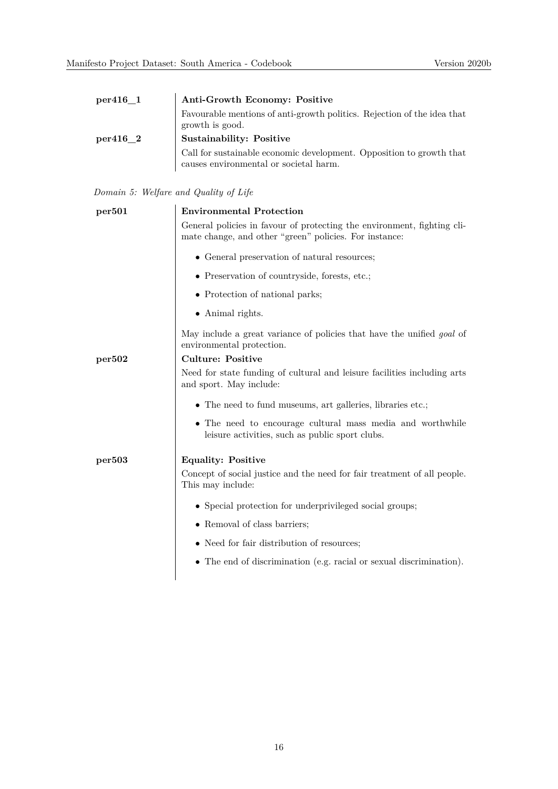| per416 1 | Anti-Growth Economy: Positive                                                                                  |
|----------|----------------------------------------------------------------------------------------------------------------|
|          | Favourable mentions of anti-growth politics. Rejection of the idea that<br>growth is good.                     |
| per416 2 | Sustainability: Positive                                                                                       |
|          | Call for sustainable economic development. Opposition to growth that<br>causes environmental or societal harm. |

#### *Domain 5: Welfare and Quality of Life*

| per501             | <b>Environmental Protection</b>                                                                                                   |
|--------------------|-----------------------------------------------------------------------------------------------------------------------------------|
|                    | General policies in favour of protecting the environment, fighting cli-<br>mate change, and other "green" policies. For instance: |
|                    | • General preservation of natural resources;                                                                                      |
|                    | • Preservation of countryside, forests, etc.;                                                                                     |
|                    | • Protection of national parks;                                                                                                   |
|                    | • Animal rights.                                                                                                                  |
|                    | May include a great variance of policies that have the unified <i>goal</i> of<br>environmental protection.                        |
| per502             | <b>Culture: Positive</b>                                                                                                          |
|                    | Need for state funding of cultural and leisure facilities including arts<br>and sport. May include:                               |
|                    | • The need to fund museums, art galleries, libraries etc.;                                                                        |
|                    | • The need to encourage cultural mass media and worthwhile<br>leisure activities, such as public sport clubs.                     |
| per <sub>503</sub> | <b>Equality: Positive</b>                                                                                                         |
|                    | Concept of social justice and the need for fair treatment of all people.<br>This may include:                                     |
|                    | • Special protection for underprivileged social groups;                                                                           |
|                    | • Removal of class barriers;                                                                                                      |
|                    | • Need for fair distribution of resources;                                                                                        |
|                    | • The end of discrimination (e.g. racial or sexual discrimination).                                                               |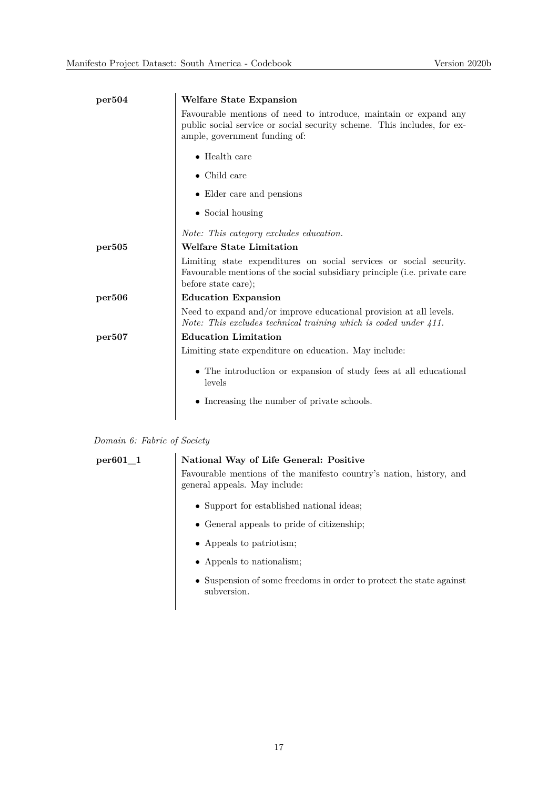| per504 | Welfare State Expansion                                                                                                                                                      |
|--------|------------------------------------------------------------------------------------------------------------------------------------------------------------------------------|
|        | Favourable mentions of need to introduce, maintain or expand any<br>public social service or social security scheme. This includes, for ex-<br>ample, government funding of: |
|        | $\bullet$ Health care                                                                                                                                                        |
|        | $\bullet$ Child care                                                                                                                                                         |
|        | • Elder care and pensions                                                                                                                                                    |
|        | $\bullet$ Social housing                                                                                                                                                     |
|        | <i>Note:</i> This category excludes education.                                                                                                                               |
| per505 | <b>Welfare State Limitation</b>                                                                                                                                              |
|        | Limiting state expenditures on social services or social security.<br>Favourable mentions of the social subsidiary principle (i.e. private care<br>before state care);       |
| per506 | <b>Education Expansion</b>                                                                                                                                                   |
|        | Need to expand and/or improve educational provision at all levels.<br>Note: This excludes technical training which is coded under $411$ .                                    |
| per507 | <b>Education Limitation</b>                                                                                                                                                  |
|        | Limiting state expenditure on education. May include:                                                                                                                        |
|        | • The introduction or expansion of study fees at all educational<br>levels                                                                                                   |
|        | • Increasing the number of private schools.                                                                                                                                  |
|        |                                                                                                                                                                              |

| Domain 6: Fabric of Society |  |  |  |  |
|-----------------------------|--|--|--|--|
|-----------------------------|--|--|--|--|

## **per601\_1 National Way of Life General: Positive** Favourable mentions of the manifesto country's nation, history, and general appeals. May include: • Support for established national ideas; • General appeals to pride of citizenship; • Appeals to patriotism; • Appeals to nationalism; • Suspension of some freedoms in order to protect the state against subversion.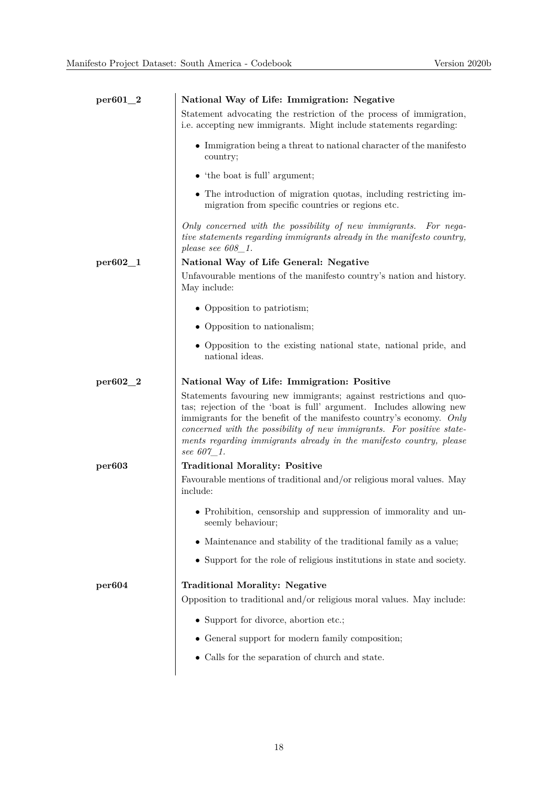| per601_2   | National Way of Life: Immigration: Negative                                                                                                                                                                                                                                                                                                                                     |
|------------|---------------------------------------------------------------------------------------------------------------------------------------------------------------------------------------------------------------------------------------------------------------------------------------------------------------------------------------------------------------------------------|
|            | Statement advocating the restriction of the process of immigration,<br>i.e. accepting new immigrants. Might include statements regarding:                                                                                                                                                                                                                                       |
|            | $\bullet~$ Immigration being a threat to national character of the manifesto<br>country;                                                                                                                                                                                                                                                                                        |
|            | $\bullet$ 'the boat is full' argument;                                                                                                                                                                                                                                                                                                                                          |
|            | • The introduction of migration quotas, including restricting im-<br>migration from specific countries or regions etc.                                                                                                                                                                                                                                                          |
|            | Only concerned with the possibility of new immigrants. For nega-<br>tive statements regarding immigrants already in the manifesto country,<br>please see $608\_1$ .                                                                                                                                                                                                             |
| $per602-1$ | National Way of Life General: Negative                                                                                                                                                                                                                                                                                                                                          |
|            | Unfavourable mentions of the manifesto country's nation and history.<br>May include:                                                                                                                                                                                                                                                                                            |
|            | • Opposition to patriotism;                                                                                                                                                                                                                                                                                                                                                     |
|            | • Opposition to nationalism;                                                                                                                                                                                                                                                                                                                                                    |
|            | • Opposition to the existing national state, national pride, and<br>national ideas.                                                                                                                                                                                                                                                                                             |
| $per602_2$ | National Way of Life: Immigration: Positive                                                                                                                                                                                                                                                                                                                                     |
|            | Statements favouring new immigrants; against restrictions and quo-<br>tas; rejection of the 'boat is full' argument. Includes allowing new<br>immigrants for the benefit of the manifesto country's economy. Only<br>concerned with the possibility of new immigrants. For positive state-<br>ments regarding immigrants already in the manifesto country, please<br>see 607_1. |
| per603     | <b>Traditional Morality: Positive</b>                                                                                                                                                                                                                                                                                                                                           |
|            | Favourable mentions of traditional and/or religious moral values. May<br>include:                                                                                                                                                                                                                                                                                               |
|            | • Prohibition, censorship and suppression of immorality and un-<br>seemly behaviour;                                                                                                                                                                                                                                                                                            |
|            | • Maintenance and stability of the traditional family as a value;                                                                                                                                                                                                                                                                                                               |
|            | • Support for the role of religious institutions in state and society.                                                                                                                                                                                                                                                                                                          |
| per604     | <b>Traditional Morality: Negative</b>                                                                                                                                                                                                                                                                                                                                           |
|            | Opposition to traditional and/or religious moral values. May include:                                                                                                                                                                                                                                                                                                           |
|            | • Support for divorce, abortion etc.;                                                                                                                                                                                                                                                                                                                                           |
|            | • General support for modern family composition;                                                                                                                                                                                                                                                                                                                                |
|            | • Calls for the separation of church and state.                                                                                                                                                                                                                                                                                                                                 |
|            |                                                                                                                                                                                                                                                                                                                                                                                 |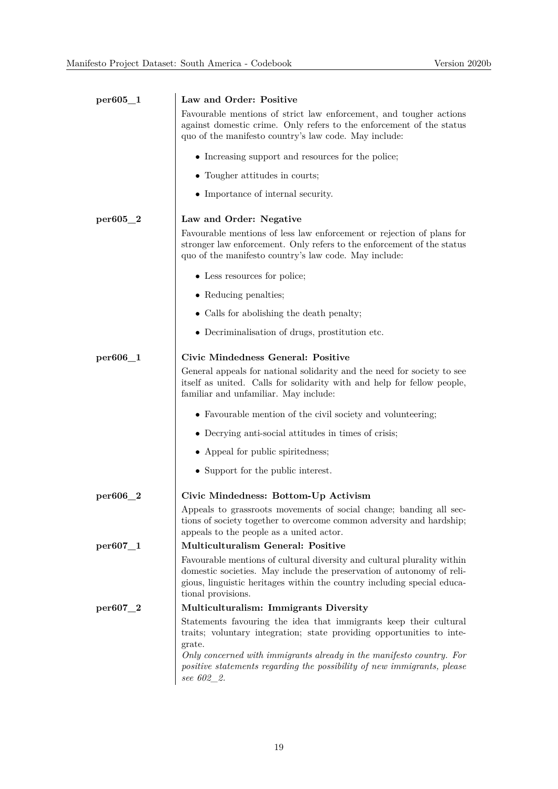| per605_1      | Law and Order: Positive                                                                                                                                                                                                                                                                                                                                                                                                             |
|---------------|-------------------------------------------------------------------------------------------------------------------------------------------------------------------------------------------------------------------------------------------------------------------------------------------------------------------------------------------------------------------------------------------------------------------------------------|
|               | Favourable mentions of strict law enforcement, and tougher actions<br>against domestic crime. Only refers to the enforcement of the status<br>quo of the manifesto country's law code. May include:                                                                                                                                                                                                                                 |
|               | • Increasing support and resources for the police;                                                                                                                                                                                                                                                                                                                                                                                  |
|               | • Tougher attitudes in courts;                                                                                                                                                                                                                                                                                                                                                                                                      |
|               | • Importance of internal security.                                                                                                                                                                                                                                                                                                                                                                                                  |
| $per605\_2$   | Law and Order: Negative                                                                                                                                                                                                                                                                                                                                                                                                             |
|               | Favourable mentions of less law enforcement or rejection of plans for<br>stronger law enforcement. Only refers to the enforcement of the status<br>quo of the manifesto country's law code. May include:                                                                                                                                                                                                                            |
|               | • Less resources for police;                                                                                                                                                                                                                                                                                                                                                                                                        |
|               | • Reducing penalties;                                                                                                                                                                                                                                                                                                                                                                                                               |
|               | • Calls for abolishing the death penalty;                                                                                                                                                                                                                                                                                                                                                                                           |
|               | • Decriminalisation of drugs, prostitution etc.                                                                                                                                                                                                                                                                                                                                                                                     |
| $per606\_1$   | Civic Mindedness General: Positive<br>General appeals for national solidarity and the need for society to see<br>itself as united. Calls for solidarity with and help for fellow people,<br>familiar and unfamiliar. May include:<br>• Favourable mention of the civil society and volunteering;<br>• Decrying anti-social attitudes in times of crisis;<br>• Appeal for public spiritedness;<br>• Support for the public interest. |
| per606_2      | Civic Mindedness: Bottom-Up Activism                                                                                                                                                                                                                                                                                                                                                                                                |
|               | Appeals to grassroots movements of social change; banding all sec-<br>tions of society together to overcome common adversity and hardship;<br>appeals to the people as a united actor.                                                                                                                                                                                                                                              |
| $per 607 - 1$ | Multiculturalism General: Positive                                                                                                                                                                                                                                                                                                                                                                                                  |
|               | Favourable mentions of cultural diversity and cultural plurality within<br>domestic societies. May include the preservation of autonomy of reli-<br>gious, linguistic heritages within the country including special educa-<br>tional provisions.                                                                                                                                                                                   |
| per607_2      | Multiculturalism: Immigrants Diversity                                                                                                                                                                                                                                                                                                                                                                                              |
|               | Statements favouring the idea that immigrants keep their cultural<br>traits; voluntary integration; state providing opportunities to inte-<br>grate.<br>Only concerned with immigrants already in the manifesto country. For<br>positive statements regarding the possibility of new immigrants, please<br>see 602 2.                                                                                                               |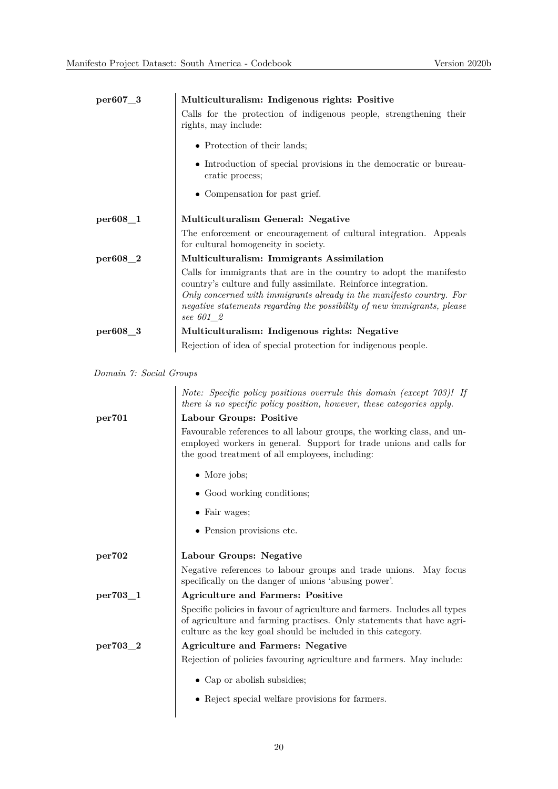| $per607-3$           | Multiculturalism: Indigenous rights: Positive                                                                                                                                                                                                                                                         |
|----------------------|-------------------------------------------------------------------------------------------------------------------------------------------------------------------------------------------------------------------------------------------------------------------------------------------------------|
|                      | Calls for the protection of indigenous people, strengthening their<br>rights, may include:                                                                                                                                                                                                            |
|                      | • Protection of their lands;                                                                                                                                                                                                                                                                          |
|                      | • Introduction of special provisions in the democratic or bureau-<br>cratic process;                                                                                                                                                                                                                  |
|                      | • Compensation for past grief.                                                                                                                                                                                                                                                                        |
| per <sub>608</sub> 1 | Multiculturalism General: Negative                                                                                                                                                                                                                                                                    |
|                      | The enforcement or encouragement of cultural integration. Appeals<br>for cultural homogeneity in society.                                                                                                                                                                                             |
| per608_2             | Multiculturalism: Immigrants Assimilation                                                                                                                                                                                                                                                             |
|                      | Calls for immigrants that are in the country to adopt the manifesto<br>country's culture and fully assimilate. Reinforce integration.<br>Only concerned with immigrants already in the manifesto country. For<br>negative statements regarding the possibility of new immigrants, please<br>see 601 2 |
| per608 <sub>_3</sub> | Multiculturalism: Indigenous rights: Negative                                                                                                                                                                                                                                                         |
|                      | Rejection of idea of special protection for indigenous people.                                                                                                                                                                                                                                        |

*Domain 7: Social Groups*

|          | Note: Specific policy positions overrule this domain (except 703)! If<br>there is no specific policy position, however, these categories apply.                                                                     |  |  |  |  |
|----------|---------------------------------------------------------------------------------------------------------------------------------------------------------------------------------------------------------------------|--|--|--|--|
| per701   | Labour Groups: Positive                                                                                                                                                                                             |  |  |  |  |
|          | Favourable references to all labour groups, the working class, and un-<br>employed workers in general. Support for trade unions and calls for<br>the good treatment of all employees, including:                    |  |  |  |  |
|          | $\bullet$ More jobs;                                                                                                                                                                                                |  |  |  |  |
|          | • Good working conditions;                                                                                                                                                                                          |  |  |  |  |
|          | • Fair wages;                                                                                                                                                                                                       |  |  |  |  |
|          | • Pension provisions etc.                                                                                                                                                                                           |  |  |  |  |
| per702   | Labour Groups: Negative                                                                                                                                                                                             |  |  |  |  |
|          | Negative references to labour groups and trade unions. May focus<br>specifically on the danger of unions 'abusing power'.                                                                                           |  |  |  |  |
| per703_1 | <b>Agriculture and Farmers: Positive</b>                                                                                                                                                                            |  |  |  |  |
|          | Specific policies in favour of agriculture and farmers. Includes all types<br>of agriculture and farming practises. Only statements that have agri-<br>culture as the key goal should be included in this category. |  |  |  |  |
| per703_2 | <b>Agriculture and Farmers: Negative</b>                                                                                                                                                                            |  |  |  |  |
|          | Rejection of policies favouring agriculture and farmers. May include:                                                                                                                                               |  |  |  |  |
|          | • Cap or abolish subsidies;                                                                                                                                                                                         |  |  |  |  |
|          | • Reject special welfare provisions for farmers.                                                                                                                                                                    |  |  |  |  |
|          |                                                                                                                                                                                                                     |  |  |  |  |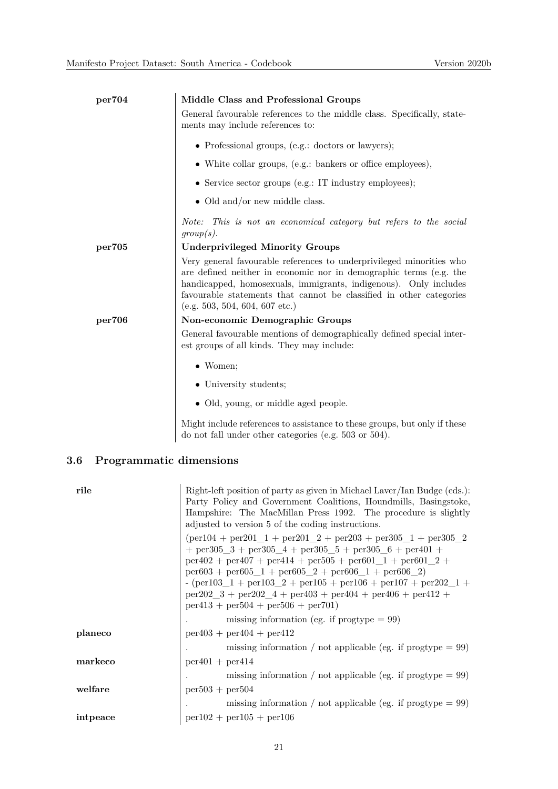| per704 | Middle Class and Professional Groups                                                                                                                                                                                                                                                                                    |
|--------|-------------------------------------------------------------------------------------------------------------------------------------------------------------------------------------------------------------------------------------------------------------------------------------------------------------------------|
|        | General favourable references to the middle class. Specifically, state-<br>ments may include references to:                                                                                                                                                                                                             |
|        | • Professional groups, (e.g.: doctors or lawyers);                                                                                                                                                                                                                                                                      |
|        | $\bullet$ White collar groups, (e.g.: bankers or office employees),                                                                                                                                                                                                                                                     |
|        | • Service sector groups (e.g.: IT industry employees);                                                                                                                                                                                                                                                                  |
|        | • Old and/or new middle class.                                                                                                                                                                                                                                                                                          |
|        | Note: This is not an economical category but refers to the social<br>group(s).                                                                                                                                                                                                                                          |
| per705 | <b>Underprivileged Minority Groups</b>                                                                                                                                                                                                                                                                                  |
|        | Very general favourable references to underprivileged minorities who<br>are defined neither in economic nor in demographic terms (e.g. the<br>handicapped, homosexuals, immigrants, indigenous). Only includes<br>favourable statements that cannot be classified in other categories<br>(e.g. 503, 504, 604, 607 etc.) |
| per706 | Non-economic Demographic Groups                                                                                                                                                                                                                                                                                         |
|        | General favourable mentions of demographically defined special inter-<br>est groups of all kinds. They may include:                                                                                                                                                                                                     |
|        | $\bullet$ Women;                                                                                                                                                                                                                                                                                                        |
|        | • University students;                                                                                                                                                                                                                                                                                                  |
|        | • Old, young, or middle aged people.                                                                                                                                                                                                                                                                                    |
|        | Might include references to assistance to these groups, but only if these                                                                                                                                                                                                                                               |

do not fall under other categories (e.g. 503 or 504).

## **3.6 Programmatic dimensions**

| rile     | Right-left position of party as given in Michael Laver/Ian Budge (eds.):<br>Party Policy and Government Coalitions, Houndmills, Basingstoke,<br>Hampshire: The MacMillan Press 1992. The procedure is slightly<br>adjusted to version 5 of the coding instructions.                                                                                                                                                                                 |
|----------|-----------------------------------------------------------------------------------------------------------------------------------------------------------------------------------------------------------------------------------------------------------------------------------------------------------------------------------------------------------------------------------------------------------------------------------------------------|
|          | $per104 + per201$ 1 + per201 2 + per203 + per305 1 + per305 2<br>$+$ per305 3 + per305 4 + per305 5 + per305 6 + per401 +<br>$per402 + per407 + per414 + per505 + per601$ 1 + $per601$ 2 +<br>$per603 + per605$ 1 + $per605$ 2 + $per606$ 1 + $per606$ 2)<br>- (per 103 1 + per 103 2 + per 105 + per 106 + per 107 + per 202 1 +<br>$per202 \quad 3 + per202 \quad 4 + per403 + per404 + per406 + per412 +$<br>$per413 + per504 + per506 + per701$ |
|          | missing information (eg. if $\text{progtype} = 99$ )                                                                                                                                                                                                                                                                                                                                                                                                |
| planeco  | $per403 + per404 + per412$                                                                                                                                                                                                                                                                                                                                                                                                                          |
|          | missing information / not applicable (eg. if $\text{progtype} = 99$ )                                                                                                                                                                                                                                                                                                                                                                               |
| markeco  | $per401 + per414$                                                                                                                                                                                                                                                                                                                                                                                                                                   |
|          | missing information / not applicable (eg. if $\text{progtype} = 99$ )                                                                                                                                                                                                                                                                                                                                                                               |
| welfare  | $per503 + per504$                                                                                                                                                                                                                                                                                                                                                                                                                                   |
|          | missing information / not applicable (eg. if $\text{progtype} = 99$ )                                                                                                                                                                                                                                                                                                                                                                               |
| intpeace | $per102 + per105 + per106$                                                                                                                                                                                                                                                                                                                                                                                                                          |